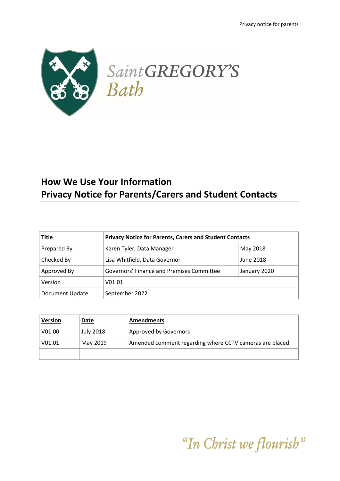

# **How We Use Your Information Privacy Notice for Parents/Carers and Student Contacts**

| <b>Title</b>    | <b>Privacy Notice for Parents, Carers and Student Contacts</b> |              |
|-----------------|----------------------------------------------------------------|--------------|
| Prepared By     | Karen Tyler, Data Manager                                      | May 2018     |
| Checked By      | Lisa Whitfield, Data Governor                                  | June 2018    |
| Approved By     | Governors' Finance and Premises Committee                      | January 2020 |
| Version         | V01.01                                                         |              |
| Document Update | September 2022                                                 |              |

| <b>Version</b> | Date             | <b>Amendments</b>                                       |
|----------------|------------------|---------------------------------------------------------|
| V01.00         | <b>July 2018</b> | Approved by Governors                                   |
| V01.01         | May 2019         | Amended comment regarding where CCTV cameras are placed |
|                |                  |                                                         |

"In Christ we flourish"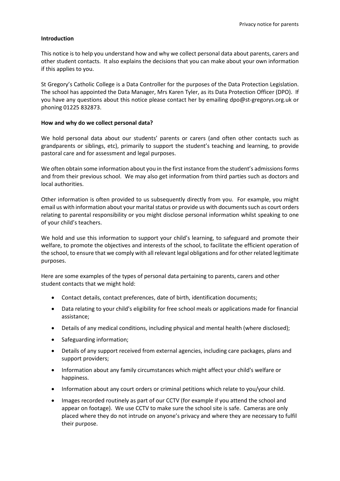## **Introduction**

This notice is to help you understand how and why we collect personal data about parents, carers and other student contacts. It also explains the decisions that you can make about your own information if this applies to you.

St Gregory's Catholic College is a Data Controller for the purposes of the Data Protection Legislation. The school has appointed the Data Manager, Mrs Karen Tyler, as its Data Protection Officer (DPO). If you have any questions about this notice please contact her by emailing [dpo@st-gregorys.org.uk](mailto:dpo@st-gregorys.org.uk) or phoning 01225 832873.

## **How and why do we collect personal data?**

We hold personal data about our students' parents or carers (and often other contacts such as grandparents or siblings, etc), primarily to support the student's teaching and learning, to provide pastoral care and for assessment and legal purposes.

We often obtain some information about you in the first instance from the student's admissions forms and from their previous school. We may also get information from third parties such as doctors and local authorities.

Other information is often provided to us subsequently directly from you. For example, you might email us with information about your marital status or provide us with documents such as court orders relating to parental responsibility or you might disclose personal information whilst speaking to one of your child's teachers.

We hold and use this information to support your child's learning, to safeguard and promote their welfare, to promote the objectives and interests of the school, to facilitate the efficient operation of the school, to ensure that we comply with all relevant legal obligations and for other related legitimate purposes.

Here are some examples of the types of personal data pertaining to parents, carers and other student contacts that we might hold:

- Contact details, contact preferences, date of birth, identification documents;
- Data relating to your child's eligibility for free school meals or applications made for financial assistance;
- Details of any medical conditions, including physical and mental health (where disclosed);
- Safeguarding information;
- Details of any support received from external agencies, including care packages, plans and support providers;
- Information about any family circumstances which might affect your child's welfare or happiness.
- Information about any court orders or criminal petitions which relate to you/your child.
- Images recorded routinely as part of our CCTV (for example if you attend the school and appear on footage). We use CCTV to make sure the school site is safe. Cameras are only placed where they do not intrude on anyone's privacy and where they are necessary to fulfil their purpose.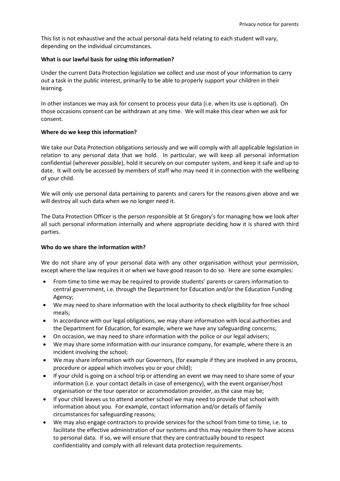This list is not exhaustive and the actual personal data held relating to each student will vary, depending on the individual circumstances.

## **What is our lawful basis for using this information?**

Under the current Data Protection legislation we collect and use most of your information to carry out a task in the public interest, primarily to be able to properly support your children in their learning.

In other instances we may ask for consent to process your data (i.e. when its use is optional). On those occasions consent can be withdrawn at any time. We will make this clear when we ask for consent.

## **Where do we keep this information?**

We take our Data Protection obligations seriously and we will comply with all applicable legislation in relation to any personal data that we hold. In particular, we will keep all personal information confidential (wherever possible), hold it securely on our computer system, and keep it safe and up to date. It will only be accessed by members of staff who may need it in connection with the wellbeing of your child.

We will only use personal data pertaining to parents and carers for the reasons given above and we will destroy all such data when we no longer need it.

The Data Protection Officer is the person responsible at St Gregory's for managing how we look after all such personal information internally and where appropriate deciding how it is shared with third parties.

## **Who do we share the information with?**

We do not share any of your personal data with any other organisation without your permission, except where the law requires it or when we have good reason to do so. Here are some examples:

- From time to time we may be required to provide students' parents or carers information to central government, i.e. through the Department for Education and/or the Education Funding Agency;
- We may need to share information with the local authority to check eligibility for free school meals;
- In accordance with our legal obligations, we may share information with local authorities and the Department for Education, for example, where we have any safeguarding concerns;
- On occasion, we may need to share information with the police or our legal advisers;
- We may share some information with our insurance company, for example, where there is an incident involving the school;
- We may share information with our Governors, (for example if they are involved in any process, procedure or appeal which involves you or your child);
- If your child is going on a school trip or attending an event we may need to share some of your information (i.e. your contact details in case of emergency), with the event organiser/host organisation or the tour operator or accommodation provider, as the case may be;
- If your child leaves us to attend another school we may need to provide that school with information about you. For example, contact information and/or details of family circumstances for safeguarding reasons;
- We may also engage contractors to provide services for the school from time to time, i.e. to facilitate the effective administration of our systems and this may require them to have access to personal data. If so, we will ensure that they are contractually bound to respect confidentiality and comply with all relevant data protection requirements.